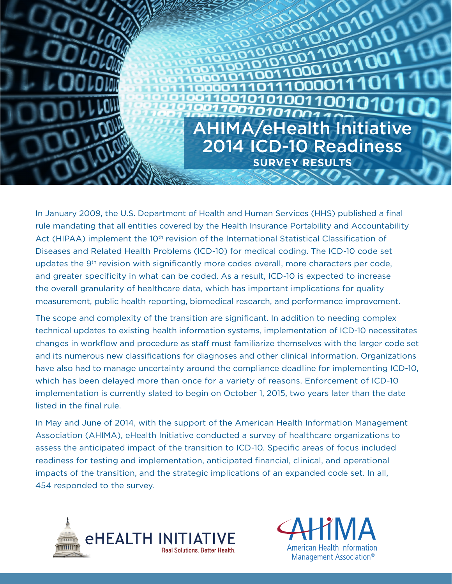

In January 2009, the U.S. Department of Health and Human Services (HHS) published a final rule mandating that all entities covered by the Health Insurance Portability and Accountability Act (HIPAA) implement the 10<sup>th</sup> revision of the International Statistical Classification of Diseases and Related Health Problems (ICD-10) for medical coding. The ICD-10 code set updates the 9<sup>th</sup> revision with significantly more codes overall, more characters per code, and greater specificity in what can be coded. As a result, ICD-10 is expected to increase the overall granularity of healthcare data, which has important implications for quality measurement, public health reporting, biomedical research, and performance improvement.

The scope and complexity of the transition are significant. In addition to needing complex technical updates to existing health information systems, implementation of ICD-10 necessitates changes in workflow and procedure as staff must familiarize themselves with the larger code set and its numerous new classifications for diagnoses and other clinical information. Organizations have also had to manage uncertainty around the compliance deadline for implementing ICD-10, which has been delayed more than once for a variety of reasons. Enforcement of ICD-10 implementation is currently slated to begin on October 1, 2015, two years later than the date listed in the final rule.

In May and June of 2014, with the support of the American Health Information Management Association (AHIMA), eHealth Initiative conducted a survey of healthcare organizations to assess the anticipated impact of the transition to ICD-10. Specific areas of focus included readiness for testing and implementation, anticipated financial, clinical, and operational impacts of the transition, and the strategic implications of an expanded code set. In all, 454 responded to the survey.



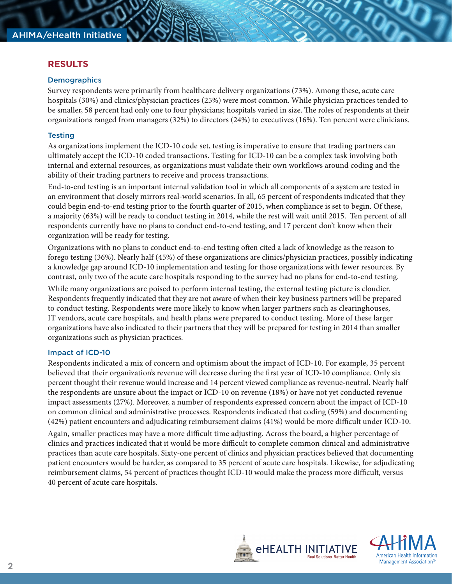# **RESULTS**

#### **Demographics**

Survey respondents were primarily from healthcare delivery organizations (73%). Among these, acute care hospitals (30%) and clinics/physician practices (25%) were most common. While physician practices tended to be smaller, 58 percent had only one to four physicians; hospitals varied in size. The roles of respondents at their organizations ranged from managers (32%) to directors (24%) to executives (16%). Ten percent were clinicians.

### **Testing**

As organizations implement the ICD-10 code set, testing is imperative to ensure that trading partners can ultimately accept the ICD-10 coded transactions. Testing for ICD-10 can be a complex task involving both internal and external resources, as organizations must validate their own workflows around coding and the ability of their trading partners to receive and process transactions.

End-to-end testing is an important internal validation tool in which all components of a system are tested in an environment that closely mirrors real-world scenarios. In all, 65 percent of respondents indicated that they could begin end-to-end testing prior to the fourth quarter of 2015, when compliance is set to begin. Of these, a majority (63%) will be ready to conduct testing in 2014, while the rest will wait until 2015. Ten percent of all respondents currently have no plans to conduct end-to-end testing, and 17 percent don't know when their organization will be ready for testing.

Organizations with no plans to conduct end-to-end testing often cited a lack of knowledge as the reason to forego testing (36%). Nearly half (45%) of these organizations are clinics/physician practices, possibly indicating a knowledge gap around ICD-10 implementation and testing for those organizations with fewer resources. By contrast, only two of the acute care hospitals responding to the survey had no plans for end-to-end testing.

While many organizations are poised to perform internal testing, the external testing picture is cloudier. Respondents frequently indicated that they are not aware of when their key business partners will be prepared to conduct testing. Respondents were more likely to know when larger partners such as clearinghouses, IT vendors, acute care hospitals, and health plans were prepared to conduct testing. More of these larger organizations have also indicated to their partners that they will be prepared for testing in 2014 than smaller organizations such as physician practices.

### Impact of ICD-10

Respondents indicated a mix of concern and optimism about the impact of ICD-10. For example, 35 percent believed that their organization's revenue will decrease during the first year of ICD-10 compliance. Only six percent thought their revenue would increase and 14 percent viewed compliance as revenue-neutral. Nearly half the respondents are unsure about the impact or ICD-10 on revenue (18%) or have not yet conducted revenue impact assessments (27%). Moreover, a number of respondents expressed concern about the impact of ICD-10 on common clinical and administrative processes. Respondents indicated that coding (59%) and documenting (42%) patient encounters and adjudicating reimbursement claims (41%) would be more difficult under ICD-10.

Again, smaller practices may have a more difficult time adjusting. Across the board, a higher percentage of clinics and practices indicated that it would be more difficult to complete common clinical and administrative practices than acute care hospitals. Sixty-one percent of clinics and physician practices believed that documenting patient encounters would be harder, as compared to 35 percent of acute care hospitals. Likewise, for adjudicating reimbursement claims, 54 percent of practices thought ICD-10 would make the process more difficult, versus 40 percent of acute care hospitals.

**TATTEFATT** 

*EHEALTH INITIATIVE* 

Real Solutions. Better Health

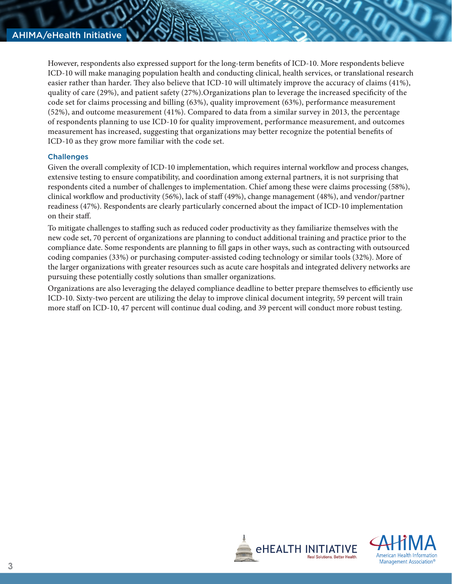However, respondents also expressed support for the long-term benefits of ICD-10. More respondents believe ICD-10 will make managing population health and conducting clinical, health services, or translational research easier rather than harder. They also believe that ICD-10 will ultimately improve the accuracy of claims (41%), quality of care (29%), and patient safety (27%).Organizations plan to leverage the increased specificity of the code set for claims processing and billing (63%), quality improvement (63%), performance measurement (52%), and outcome measurement (41%). Compared to data from a similar survey in 2013, the percentage of respondents planning to use ICD-10 for quality improvement, performance measurement, and outcomes measurement has increased, suggesting that organizations may better recognize the potential benefits of ICD-10 as they grow more familiar with the code set.

## **Challenges**

Given the overall complexity of ICD-10 implementation, which requires internal workflow and process changes, extensive testing to ensure compatibility, and coordination among external partners, it is not surprising that respondents cited a number of challenges to implementation. Chief among these were claims processing (58%), clinical workflow and productivity (56%), lack of staff (49%), change management (48%), and vendor/partner readiness (47%). Respondents are clearly particularly concerned about the impact of ICD-10 implementation on their staff.

To mitigate challenges to staffing such as reduced coder productivity as they familiarize themselves with the new code set, 70 percent of organizations are planning to conduct additional training and practice prior to the compliance date. Some respondents are planning to fill gaps in other ways, such as contracting with outsourced coding companies (33%) or purchasing computer-assisted coding technology or similar tools (32%). More of the larger organizations with greater resources such as acute care hospitals and integrated delivery networks are pursuing these potentially costly solutions than smaller organizations.

Organizations are also leveraging the delayed compliance deadline to better prepare themselves to efficiently use ICD-10. Sixty-two percent are utilizing the delay to improve clinical document integrity, 59 percent will train more staff on ICD-10, 47 percent will continue dual coding, and 39 percent will conduct more robust testing.